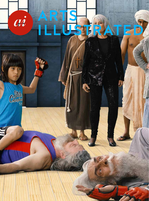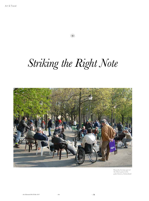$\sum_{n=1}^{\infty}$ 

## *Striking the Right Note*



Passersby become part of the Chess game in the park. Geneva, Switzerland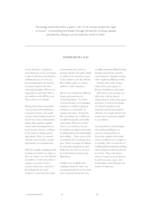The energy enshrined within a space – be it in its volume, proportion, light or sound – is something that breaks through the barriers of place, people and identity, asking us as we travel the world to 'listen'

## S iddhartha Das

I write this piece, completely sleep deprived, as I try to produce a festival with my team members in Bhubaneswar. At 4.30 a.m., the morning before the festival, I am preoccupied with some existential thoughts: Who are we doing this for and why? Who is our audience and will they care about what we are doing?

Having lived alone for possibly way too long, and working in a cocooned existence, the world seems to have changed a bit too fast for me. I am in denial about malls, selfies and how rapidly Americanised and polarised we have become. And yet, working in the realm of design, spaces and culture, I have to contend with the issues of place, people and identity on a regular basis.

With this rapidly changing world, it makes one think if an object, a piece or a place can exist without an audience. Is the *raison d'être* to engage, or merely to have a reaction and create a spectacle? Etymologically, the word 'audience' comes from the Latin

word *audientia*, the action of hearing, and the verb *audire*, which is to listen. I see myself as a part of the audience, one that 'listens'. But, I think, today we confuse audiences with consumers.

All of us are seduced by different things, and sometimes by contrasting things – by colour or monochromes, ever-changing imageries or stillness, glamour and fame or anonymity. To engage and entice. Seduction, like everything else, is different for different people and wildly contrasting. What do we like? There is an audience for art, for religion, for sights and sounds, for dating and sex, for mud-slinging and trolling… There seems to be an audience for everything, all at once. There is no space for stillness, for thorough engagement. And, Delhi, the city I live in, seems to be at the bottom of that smogfilled abyss.

Ghalib wrote soulfully and longingly about the same city decaying. Luckily for us, he wrote more emotively about love, not

too differently from Pablo Neruda, though separated by centuries and continents. Though creating with completely different media – Neruda with words, Tadao Ando with serene spaces or Kumar Gandharva with music – all of them seem to make you fall in love with the idea of timeless beauty, with words, spaces and notes. I work on the design of cultural complexes and museums and am preoccupied with how I can make this love for words, spaces and notes tangible to an audience.

As a practitioner, I had thought that making buildings was supreme among all the art forms, the *sthapatis* who would create a sculpture or a temple or a township. After two decades of working and intermittently studying and teaching, I realise that for me it is music. That is the innate nature of music as an art form to be able to create a space, that feels limitless, and challenges all notions of finiteness.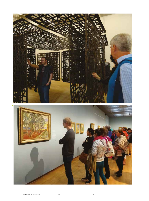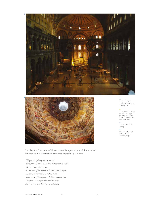



Lao Tse, the 6th century Chinese poet-philosopher captured this notion of infiniteness in a way that only the most incredible poets can:

*Thirty spokes join together in the hub. It is because of what is not there that the cart is useful. Clay is formed into a vessel. It is because of its emptiness that the vessel is useful. Cut doors and windows to make a room. It is because of its emptiness that the room is useful. Therefore, what is present is used for profit. But it is in absence that there is usefulness.* 

 $\bullet$ The audience is intrigued by the exhibit. Tate Modern, London, UK

٠

An engrossed audience takes in Van Gogh painting. Van Gogh Museum, Amsterdam, the Netherlands

 $\bullet$ Ayasofya. Istanbul, Turkey

The painted domed ceiling. Duomo, Florence, Italy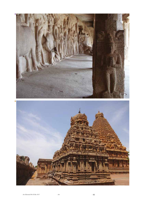